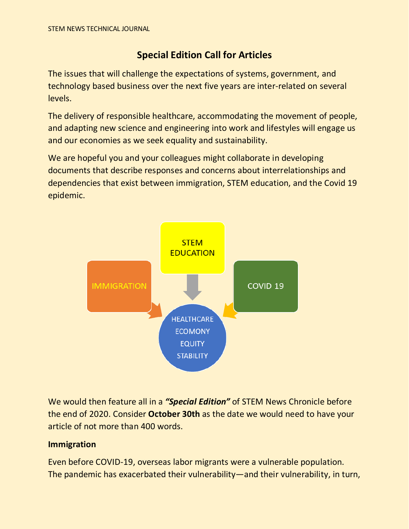## **Special Edition Call for Articles**

The issues that will challenge the expectations of systems, government, and technology based business over the next five years are inter-related on several levels.

The delivery of responsible healthcare, accommodating the movement of people, and adapting new science and engineering into work and lifestyles will engage us and our economies as we seek equality and sustainability.

We are hopeful you and your colleagues might collaborate in developing documents that describe responses and concerns about interrelationships and dependencies that exist between immigration, STEM education, and the Covid 19 epidemic.



We would then feature all in a *"Special Edition"* of STEM News Chronicle before the end of 2020. Consider **October 30th** as the date we would need to have your article of not more than 400 words.

## **Immigration**

Even before COVID-19, overseas labor migrants were a vulnerable population. The pandemic has exacerbated their vulnerability—and their vulnerability, in turn,